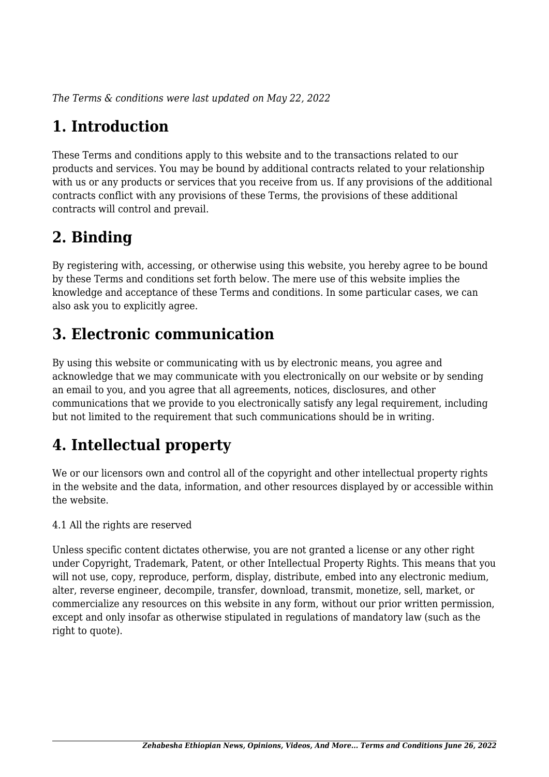*The Terms & conditions were last updated on May 22, 2022*

## **1. Introduction**

These Terms and conditions apply to this website and to the transactions related to our products and services. You may be bound by additional contracts related to your relationship with us or any products or services that you receive from us. If any provisions of the additional contracts conflict with any provisions of these Terms, the provisions of these additional contracts will control and prevail.

## **2. Binding**

By registering with, accessing, or otherwise using this website, you hereby agree to be bound by these Terms and conditions set forth below. The mere use of this website implies the knowledge and acceptance of these Terms and conditions. In some particular cases, we can also ask you to explicitly agree.

## **3. Electronic communication**

By using this website or communicating with us by electronic means, you agree and acknowledge that we may communicate with you electronically on our website or by sending an email to you, and you agree that all agreements, notices, disclosures, and other communications that we provide to you electronically satisfy any legal requirement, including but not limited to the requirement that such communications should be in writing.

# **4. Intellectual property**

We or our licensors own and control all of the copyright and other intellectual property rights in the website and the data, information, and other resources displayed by or accessible within the website.

4.1 All the rights are reserved

Unless specific content dictates otherwise, you are not granted a license or any other right under Copyright, Trademark, Patent, or other Intellectual Property Rights. This means that you will not use, copy, reproduce, perform, display, distribute, embed into any electronic medium, alter, reverse engineer, decompile, transfer, download, transmit, monetize, sell, market, or commercialize any resources on this website in any form, without our prior written permission, except and only insofar as otherwise stipulated in regulations of mandatory law (such as the right to quote).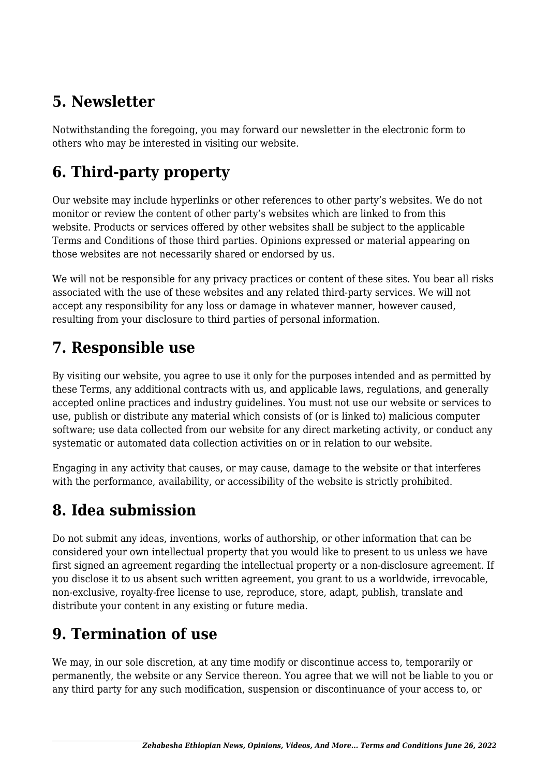## **5. Newsletter**

Notwithstanding the foregoing, you may forward our newsletter in the electronic form to others who may be interested in visiting our website.

# **6. Third-party property**

Our website may include hyperlinks or other references to other party's websites. We do not monitor or review the content of other party's websites which are linked to from this website. Products or services offered by other websites shall be subject to the applicable Terms and Conditions of those third parties. Opinions expressed or material appearing on those websites are not necessarily shared or endorsed by us.

We will not be responsible for any privacy practices or content of these sites. You bear all risks associated with the use of these websites and any related third-party services. We will not accept any responsibility for any loss or damage in whatever manner, however caused, resulting from your disclosure to third parties of personal information.

### **7. Responsible use**

By visiting our website, you agree to use it only for the purposes intended and as permitted by these Terms, any additional contracts with us, and applicable laws, regulations, and generally accepted online practices and industry guidelines. You must not use our website or services to use, publish or distribute any material which consists of (or is linked to) malicious computer software; use data collected from our website for any direct marketing activity, or conduct any systematic or automated data collection activities on or in relation to our website.

Engaging in any activity that causes, or may cause, damage to the website or that interferes with the performance, availability, or accessibility of the website is strictly prohibited.

## **8. Idea submission**

Do not submit any ideas, inventions, works of authorship, or other information that can be considered your own intellectual property that you would like to present to us unless we have first signed an agreement regarding the intellectual property or a non-disclosure agreement. If you disclose it to us absent such written agreement, you grant to us a worldwide, irrevocable, non-exclusive, royalty-free license to use, reproduce, store, adapt, publish, translate and distribute your content in any existing or future media.

## **9. Termination of use**

We may, in our sole discretion, at any time modify or discontinue access to, temporarily or permanently, the website or any Service thereon. You agree that we will not be liable to you or any third party for any such modification, suspension or discontinuance of your access to, or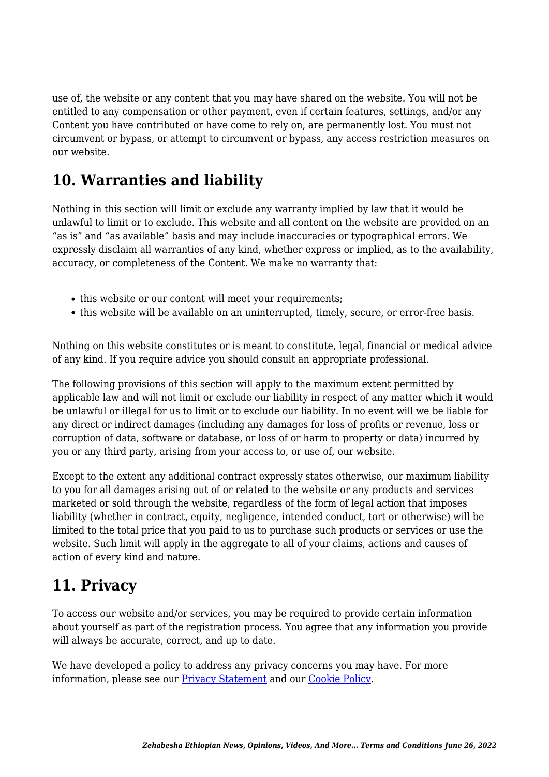use of, the website or any content that you may have shared on the website. You will not be entitled to any compensation or other payment, even if certain features, settings, and/or any Content you have contributed or have come to rely on, are permanently lost. You must not circumvent or bypass, or attempt to circumvent or bypass, any access restriction measures on our website.

### **10. Warranties and liability**

Nothing in this section will limit or exclude any warranty implied by law that it would be unlawful to limit or to exclude. This website and all content on the website are provided on an "as is" and "as available" basis and may include inaccuracies or typographical errors. We expressly disclaim all warranties of any kind, whether express or implied, as to the availability, accuracy, or completeness of the Content. We make no warranty that:

- this website or our content will meet your requirements;
- this website will be available on an uninterrupted, timely, secure, or error-free basis.

Nothing on this website constitutes or is meant to constitute, legal, financial or medical advice of any kind. If you require advice you should consult an appropriate professional.

The following provisions of this section will apply to the maximum extent permitted by applicable law and will not limit or exclude our liability in respect of any matter which it would be unlawful or illegal for us to limit or to exclude our liability. In no event will we be liable for any direct or indirect damages (including any damages for loss of profits or revenue, loss or corruption of data, software or database, or loss of or harm to property or data) incurred by you or any third party, arising from your access to, or use of, our website.

Except to the extent any additional contract expressly states otherwise, our maximum liability to you for all damages arising out of or related to the website or any products and services marketed or sold through the website, regardless of the form of legal action that imposes liability (whether in contract, equity, negligence, intended conduct, tort or otherwise) will be limited to the total price that you paid to us to purchase such products or services or use the website. Such limit will apply in the aggregate to all of your claims, actions and causes of action of every kind and nature.

### **11. Privacy**

To access our website and/or services, you may be required to provide certain information about yourself as part of the registration process. You agree that any information you provide will always be accurate, correct, and up to date.

We have developed a policy to address any privacy concerns you may have. For more information, please see our **Privacy Statement** and our **[Cookie Policy](https://zehabesha.com/)**.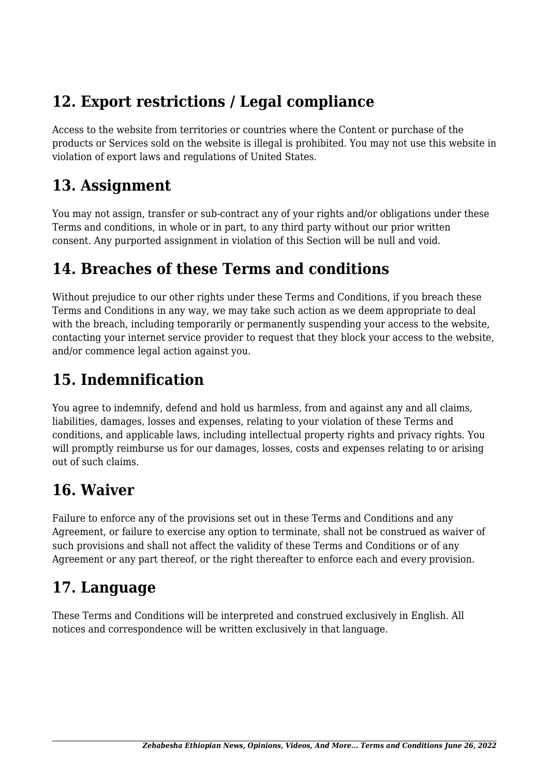### **12. Export restrictions / Legal compliance**

Access to the website from territories or countries where the Content or purchase of the products or Services sold on the website is illegal is prohibited. You may not use this website in violation of export laws and regulations of United States.

#### **13. Assignment**

You may not assign, transfer or sub-contract any of your rights and/or obligations under these Terms and conditions, in whole or in part, to any third party without our prior written consent. Any purported assignment in violation of this Section will be null and void.

### **14. Breaches of these Terms and conditions**

Without prejudice to our other rights under these Terms and Conditions, if you breach these Terms and Conditions in any way, we may take such action as we deem appropriate to deal with the breach, including temporarily or permanently suspending your access to the website, contacting your internet service provider to request that they block your access to the website, and/or commence legal action against you.

## **15. Indemnification**

You agree to indemnify, defend and hold us harmless, from and against any and all claims, liabilities, damages, losses and expenses, relating to your violation of these Terms and conditions, and applicable laws, including intellectual property rights and privacy rights. You will promptly reimburse us for our damages, losses, costs and expenses relating to or arising out of such claims.

## **16. Waiver**

Failure to enforce any of the provisions set out in these Terms and Conditions and any Agreement, or failure to exercise any option to terminate, shall not be construed as waiver of such provisions and shall not affect the validity of these Terms and Conditions or of any Agreement or any part thereof, or the right thereafter to enforce each and every provision.

## **17. Language**

These Terms and Conditions will be interpreted and construed exclusively in English. All notices and correspondence will be written exclusively in that language.